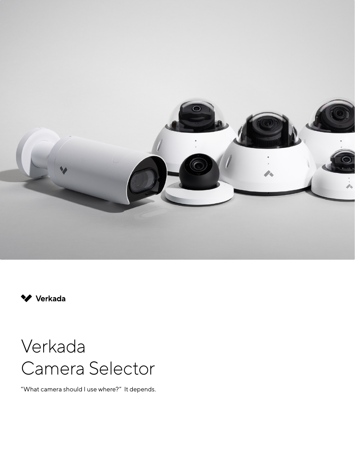



# Verkada Camera Selector

"What camera should I use where?" It depends.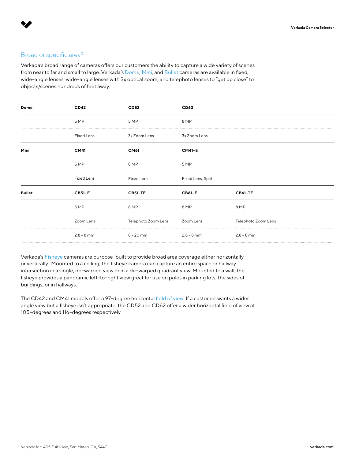# Broad or specific area?

Verkada's broad range of cameras offers our customers the ability to capture a wide variety of scenes from near to far and small to large. Verkada's [Dome,](https://www.verkada.com/security-cameras/dome/) [Mini](https://www.verkada.com/security-cameras/mini/), and [Bullet](https://www.verkada.com/security-cameras/bullet/) cameras are available in fixed, wide–angle lenses; wide–angle lenses with 3x optical zoom; and telephoto lenses to "get up close" to objects/scenes hundreds of feet away.

Verkada's [Fisheye](https://www.verkada.com/security-cameras/fisheye/) cameras are purpose–built to provide broad area coverage either horizontally or vertically. Mounted to a ceiling, the fisheye camera can capture an entire space or hallway intersection in a single, de–warped view or in a de–warped quadrant view. Mounted to a wall, the fisheye provides a panoramic left–to–right view great for use on poles in parking lots, the sides of buildings, or in hallways.

The CD42 and CM41 models offer a 97-degree horizontal [field of view.](https://docs.google.com/presentation/d/1xqfV6eNsPL3upHO7JmHXc7fclhybBrDRh-2H-KSSg4M/edit?usp=sharing) If a customer wants a wider angle view but a fisheye isn't appropriate, the CD52 and CD62 offer a wider horizontal field of view at 105–degrees and 116–degrees respectively.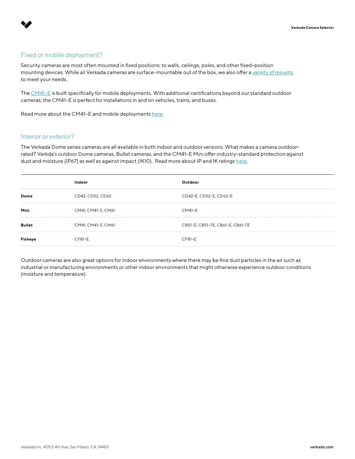# Fixed or mobile deployment?

Security cameras are most often mounted in fixed positions: to walls, ceilings, poles, and other fixed–position mounting devices. While all Verkada cameras are surface-mountable out of the box, we also offer a variety of mounts to meet your needs.

The [CM41–E](https://www.verkada.com/security-cameras/mini/cm41-e/) is built specifically for mobile deployments. With additional certifications beyond our standard outdoor cameras, the CM41–E is perfect for installations in and on vehicles, trains, and buses.

Read more about the CM41-E and mobile deployment[s here.](https://docs.verkada.com/docs/solution_for_mobile_deployments.pdf)

#### Interior or exterior?

The Verkada Dome series cameras are all available in both indoor and outdoor versions. What makes a camera outdoor– rated? Verkda's outdoor Dome cameras, Bullet cameras, and the CM41–E Mini offer industry–standard protection against dust and moisture (IP67) as well as against impact (IK10). Read more about IP and IK ratings [here.](https://help.verkada.com/en/articles/4622405-camera-ratings-ik-and-ip)

|        | Indoor             |                                  |
|--------|--------------------|----------------------------------|
| Dome   | CD42, CD52, CD62   | CD42-E, CD52-E, CD62-E           |
| Mini   | CM41, CM41-S, CM61 | <b>CM41-E</b>                    |
| Bullet | CM41, CM41-S, CM61 | CB51-E, CB51-TE, CB61-E, CB61-TE |
|        | $CF81-E$           | $CF81-E$                         |

Outdoor cameras are also great options for indoor environments where there may be fine dust particles in the air such as industrial or manufacturing environments or other indoor environments that might otherwise experience outdoor conditions (moisture and temperature).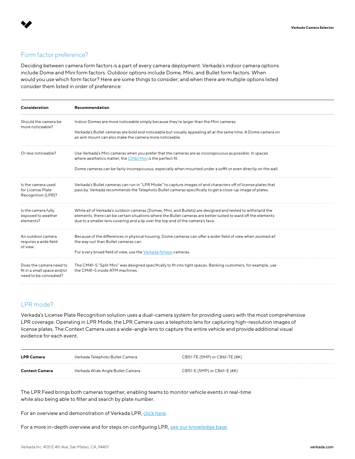# Form factor preference?

Deciding between camera form factors is a part of every camera deployment. Verkada's indoor camera options include Dome and Mini form factors. Outdoor options include Dome, Mini, and Bullet form factors. When would you use which form factor? Here are some things to consider; and when there are multiple options listed consider them listed in order of preference:

| Consideration                                                                   | Recommendation                                                                                                                                                                                                                                                                                                 |
|---------------------------------------------------------------------------------|----------------------------------------------------------------------------------------------------------------------------------------------------------------------------------------------------------------------------------------------------------------------------------------------------------------|
| Should the camera be<br>more noticeable?                                        | Indoor Domes are more noticeable simply because they're larger than the Mini cameras.<br>Verkada's Bullet cameras are bold and noticeable but visually appealing all at the same time. A Dome camera on<br>an arm mount can also make the camera more noticeable.                                              |
| Or less noticeable?                                                             | Use Verkada's Mini cameras when you prefer that the cameras are as inconspicuous as possible. In spaces<br>where aesthetics matter, the CM61 Mini is the perfect fit.<br>Dome cameras can be fairly inconspicuous, especially when mounted under a soffit or even directly on the wall.                        |
| Is the camera used<br>for License Plate<br>Recognition (LPR)?                   | Verkada's Bullet cameras can run in "LPR Mode" to capture images of and characters off of license plates that<br>pass by. Verkada recommends the Telephoto Bullet cameras specifically to get a close-up image of plates.                                                                                      |
| Is the camera fully<br>exposed to weather<br>elements?                          | While all of Verkada's outdoor cameras (Domes, Mini, and Bullets) are designed and tested to withstand the<br>elements, there can be certain situations where the Bullet cameras are better suited to ward off the elements<br>due to a smaller lens covering and a lip over the top end of the camera's face. |
| An outdoor camera<br>requires a wide field<br>of view.                          | Because of the differences in physical housing, Dome cameras can offer a wider field of view when zoomed all<br>the way out than Bullet cameras can.<br>For a very broad field of view, use the Verkada fisheve cameras.                                                                                       |
| Does the camera need to<br>fit in a small space and/or<br>need to be concealed? | The CM41-S "Split Mini" was designed specifically to fit into tight spaces. Banking customers, for example, use<br>the CM41-S inside ATM machines.                                                                                                                                                             |

# LPR mode?

Verkada's License Plate Recognition solution uses a dual–camera system for providing users with the most comprehensive LPR coverage. Operating in LPR Mode, the LPR Camera uses a telephoto lens for capturing high–resolution images of license plates. The Context Camera uses a wide–angle lens to capture the entire vehicle and provide additional visual evidence for each event.

| <b>LPR Camera</b> | Verkada Telephoto Bullet Camera  | CB51-TE (5MP) or CB61-TE (4K) |
|-------------------|----------------------------------|-------------------------------|
| Context Camera    | Verkada Wide Angle Bullet Camera | CB51-E (5MP) or CB61-E (4K)   |

The LPR Feed brings both cameras together, enabling teams to monitor vehicle events in real–time while also being able to filter and search by plate number.

For an overview and demonstration of Verkada LPR, [click here](https://www.verkada.com/surveillance/license-plate-recognition/).

For a more in-depth overview and for steps on configuring LPR, [see our knowledge base.](https://help.verkada.com/en/?q=lpr)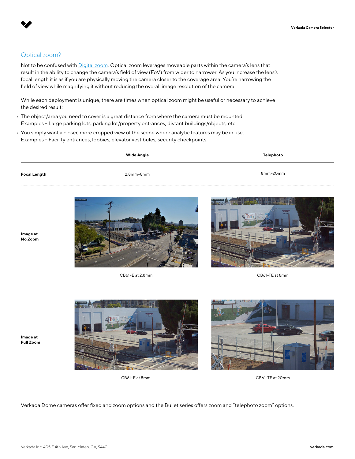# Optical zoom?

Not to be confused with [Digital zoom](https://help.verkada.com/en/articles/1132399-using-digital-zoom), Optical zoom leverages moveable parts within the camera's lens that result in the ability to change the camera's field of view (FoV) from wider to narrower. As you increase the lens's focal length it is as if you are physically moving the camera closer to the coverage area. You're narrowing the field of view while magnifying it without reducing the overall image resolution of the camera.

While each deployment is unique, there are times when optical zoom might be useful or necessary to achieve the desired result:

- The object/area you need to cover is a great distance from where the camera must be mounted. Examples – Large parking lots, parking lot/property entrances, distant buildings/objects, etc.
- You simply want a closer, more cropped view of the scene where analytic features may be in use. Examples – Facility entrances, lobbies, elevator vestibules, security checkpoints.

| Wide Angle   |                  | Telephoto |  |
|--------------|------------------|-----------|--|
| Focal Length | $2.8$ mm- $8$ mm | 8mm-20mm  |  |
|              |                  |           |  |

**Image at No Zoom**





CB61–E at 2.8mm CB61–TE at 8mm

**Image at Full Zoom**





CB61–E at 8mm CB61–TE at 20mm

Verkada Dome cameras offer fixed and zoom options and the Bullet series offers zoom and "telephoto zoom" options.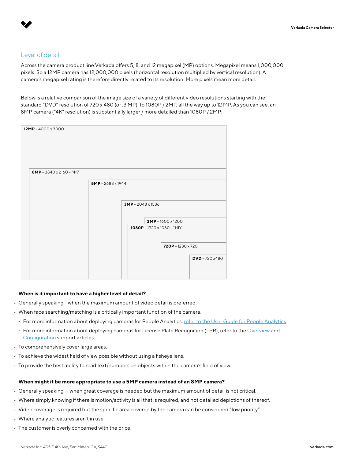## Level of detail

Across the camera product line Verkada offers 5, 8, and 12 megapixel (MP) options. Megapixel means 1,000,000 pixels. So a 12MP camera has 12,000,000 pixels (horizontal resolution multiplied by vertical resolution). A camera's megapixel rating is therefore directly related to its resolution. More pixels mean more detail.

Below is a relative comparison of the image size of a variety of different video resolutions starting with the standard "DVD" resolution of 720 x 480 (or .3 MP), to 1080P / 2MP, all the way up to 12 MP. As you can see, an 8MP camera ("4K" resolution) is substantially larger / more detailed than 1080P / 2MP.

| $12MP - 4000 \times 3000$ |                          |                          |                                                        |                  |
|---------------------------|--------------------------|--------------------------|--------------------------------------------------------|------------------|
| 8MP-3840 x 2160 - "4K"    |                          |                          |                                                        |                  |
|                           | $5MP - 2688 \times 1944$ |                          |                                                        |                  |
|                           |                          | $3MP - 2048 \times 1536$ |                                                        |                  |
|                           |                          |                          | $2MP - 1600 \times 1200$<br>1080P - 1920 x 1080 - "HD" |                  |
|                           |                          |                          | $720P - 1280 \times 720$                               | $DVD - 720 x480$ |
|                           |                          |                          |                                                        |                  |

#### **When is it important to have a higher level of detail?**

- Generally speaking when the maximum amount of video detail is preferred.
- When face searching/matching is a critically important function of the camera.
	- For more information about deploying cameras for People Analytics, [refer to the User Guide for People Analytics.](https://docs.verkada.com/docs/video-security-guide-people-analytics.pdf)
	- For more information about deploying cameras for License Plate Recognition (LPR), refer to the [Overview](https://help.verkada.com/en/articles/4612507-license-plate-recognition-overview) and [Configuration](https://help.verkada.com/en/articles/4612523-configuring-license-plate-recognition) support articles.
- To comprehensively cover large areas.
- To achieve the widest field of view possible without using a fisheye lens.
- To provide the best ability to read text/numbers on objects within the camera's field of view.

#### **When might it be more appropriate to use a 5MP camera instead of an 8MP camera?**

- Generally speaking when great coverage is needed but the maximum amount of detail is not critical.
- Where simply knowing if there is motion/activity is all that is required, and not detailed depictions of thereof.
- Video coverage is required but the specific area covered by the camera can be considered "low priority".
- Where analytic features aren't in use.
- The customer is overly concerned with the price.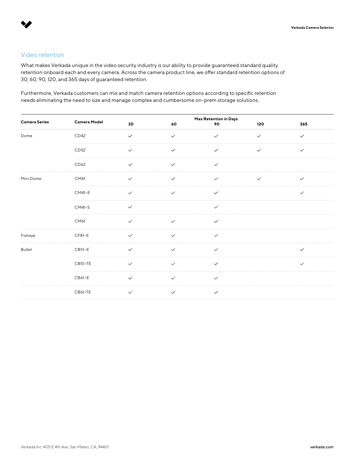# Video retention

What makes Verkada unique in the video security industry is our ability to provide guaranteed standard quality retention onboard each and every camera. Across the camera product line, we offer standard retention options of 30, 60, 90, 120, and 365 days of guaranteed retention.

Furthermore, Verkada customers can mix and match camera retention options according to specific retention needs eliminating the need to size and manage complex and cumbersome on–prem storage solutions.

| <b>Camera Series</b> | Camera Model  | Max Retention in Days |              |              |              |              |  |  |
|----------------------|---------------|-----------------------|--------------|--------------|--------------|--------------|--|--|
|                      |               | 30                    | 60           | 90           | 120          | 365          |  |  |
| Dome                 | CD42          | $\checkmark$          | $\checkmark$ | $\checkmark$ | $\checkmark$ | $\checkmark$ |  |  |
|                      | CD52          | $\checkmark$          | $\checkmark$ | $\checkmark$ | $\checkmark$ | $\checkmark$ |  |  |
|                      | CD62          | $\checkmark$          | $\checkmark$ | $\checkmark$ |              |              |  |  |
| Mini Dome            | CM41          | $\checkmark$          | $\checkmark$ | $\checkmark$ | $\checkmark$ | $\checkmark$ |  |  |
|                      | <b>CM41-E</b> | $\checkmark$          | $\checkmark$ | $\checkmark$ |              | $\checkmark$ |  |  |
|                      | CM41-S        | $\checkmark$          |              | $\checkmark$ |              |              |  |  |
|                      | CM61          | $\checkmark$          | $\checkmark$ | $\checkmark$ |              |              |  |  |
| Fisheye              | $CF81-E$      | $\checkmark$          | $\checkmark$ | $\checkmark$ |              |              |  |  |
| <b>Bullet</b>        | $CB51-E$      | $\checkmark$          | $\checkmark$ | $\checkmark$ |              | $\checkmark$ |  |  |
|                      | CB51-TE       | $\checkmark$          | $\checkmark$ | $\checkmark$ |              | $\checkmark$ |  |  |
|                      | CB61-E        | $\checkmark$          | $\checkmark$ | $\checkmark$ |              |              |  |  |
|                      | CB61-TE       | $\checkmark$          | $\checkmark$ | $\checkmark$ |              |              |  |  |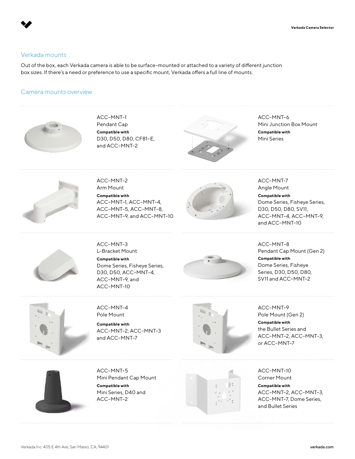# Verkada mounts

Out of the box, each Verkada camera is able to be surface–mounted or attached to a variety of different junction box sizes. If there's a need or preference to use a specific mount, Verkada offers a full line of mounts.

## Camera mounts overview



ACC–MNT–1 Pendant Cap **Compatible with**  D30, D50, D80, CF81–E, and ACC–MNT–2



ACC–MNT–6 Mini Junction Box Mount **Compatible with** Mini Series



ACC–MNT–2 Arm Mount **Compatible with**  ACC–MNT–1, ACC–MNT–4, ACC–MNT–5, ACC–MNT–8, ACC–MNT–9, and ACC–MNT–10



ACC–MNT-7 Angle Mount **Compatible with**  Dome Series, Fisheye Series, D30, D50, D80, SV11, ACC–MNT–4, ACC–MNT–9, and ACC–MNT–10



ACC–MNT–3 L–Bracket Mount **Compatible with** Dome Series, Fisheye Series, D30, D50, ACC–MNT–4, ACC–MNT–9, and ACC–MNT–10



ACC–MNT–8 Pendant Cap Mount (Gen 2) **Compatible with**  Dome Series, Fisheye Series, D30, D50, D80, SV11 and ACC–MNT–2



ACC–MNT–4 Pole Mount

**Compatible with**  ACC–MNT–2, ACC–MNT–3 and ACC–MNT–7



ACC–MNT–9 Pole Mount (Gen 2) **Compatible with** 

the Bullet Series and ACC–MNT–2, ACC–MNT–3, or ACC–MNT–7



ACC–MNT–5 Mini Pendant Cap Mount **Compatible with**  Mini Series, D40 and ACC–MNT–2



ACC–MNT–10 Corner Mount **Compatible with**  ACC–MNT–2, ACC–MNT–3, ACC–MNT–7, Dome Series, and Bullet Series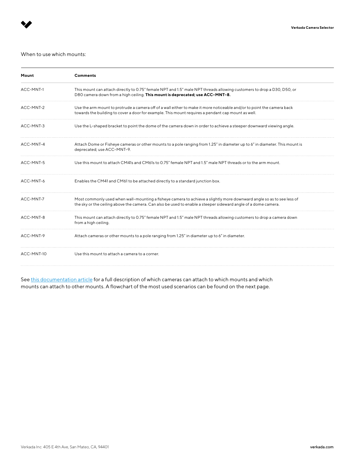#### When to use which mounts:

| Mount      | Comments                                                                                                                                                                                                                                |
|------------|-----------------------------------------------------------------------------------------------------------------------------------------------------------------------------------------------------------------------------------------|
| ACC-MNT-1  | This mount can attach directly to 0.75" female NPT and 1.5" male NPT threads allowing customers to drop a D30, D50, or<br>D80 camera down from a high ceiling. This mount is deprecated; use ACC-MNT-8.                                 |
| ACC-MNT-2  | Use the arm mount to protrude a camera off of a wall either to make it more noticeable and/or to point the camera back<br>towards the building to cover a door for example. This mount requires a pendant cap mount as well.            |
| ACC-MNT-3  | Use the L-shaped bracket to point the dome of the camera down in order to achieve a steeper downward viewing angle.                                                                                                                     |
| ACC-MNT-4  | Attach Dome or Fisheye cameras or other mounts to a pole ranging from 1.25" in diameter up to 6" in diameter. This mount is<br>deprecated; use ACC-MNT-9.                                                                               |
| ACC-MNT-5  | Use this mount to attach CM41s and CM61s to 0.75" female NPT and 1.5" male NPT threads or to the arm mount.                                                                                                                             |
| ACC-MNT-6  | Enables the CM41 and CM61 to be attached directly to a standard junction box.                                                                                                                                                           |
| ACC-MNT-7  | Most commonly used when wall-mounting a fisheye camera to achieve a slightly more downward angle so as to see less of<br>the sky or the ceiling above the camera. Can also be used to enable a steeper sideward angle of a dome camera. |
| ACC-MNT-8  | This mount can attach directly to 0.75" female NPT and 1.5" male NPT threads allowing customers to drop a camera down<br>from a high ceiling.                                                                                           |
| ACC-MNT-9  | Attach cameras or other mounts to a pole ranging from 1.25" in diameter up to 6" in diameter.                                                                                                                                           |
| ACC-MNT-10 | Use this mount to attach a camera to a corner.                                                                                                                                                                                          |

See [this documentation article](https://www.verkada.com/docs/accessories-list.pdf) for a full description of which cameras can attach to which mounts and which mounts can attach to other mounts. A flowchart of the most used scenarios can be found on the next page.